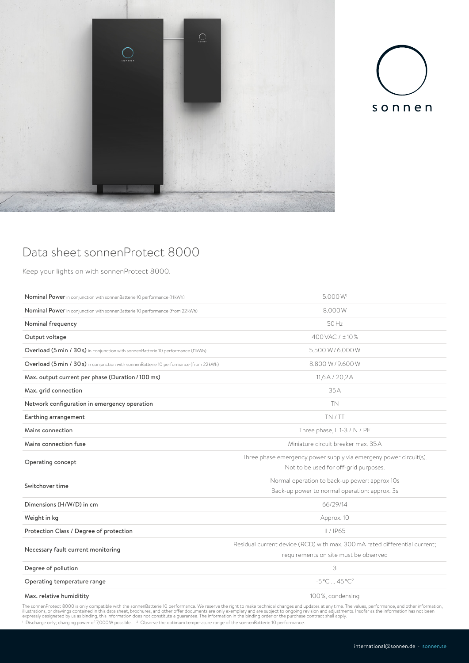



## Data sheet sonnenProtect 8000

Keep your lights on with sonnenProtect 8000.

| Nominal Power in conjunction with sonnenBatterie 10 performance (11kWh)                 | 5.000 W <sup>1</sup>                                                                                                |
|-----------------------------------------------------------------------------------------|---------------------------------------------------------------------------------------------------------------------|
| Nominal Power in conjunction with sonnenBatterie 10 performance (from 22 kWh)           | 8.000W                                                                                                              |
| Nominal frequency                                                                       | 50Hz                                                                                                                |
| Output voltage                                                                          | 400 VAC / ±10 %                                                                                                     |
| Overload (5 min / 30 s) in conjunction with sonnenBatterie 10 performance (11kWh)       | 5.500 W/6.000 W                                                                                                     |
| Overload (5 min / 30 s) in conjunction with sonnenBatterie 10 performance (from 22 kWh) | 8.800 W/9.600 W                                                                                                     |
| Max. output current per phase (Duration / 100 ms)                                       | 11,6A / 20,2A                                                                                                       |
| Max. grid connection                                                                    | 35 A                                                                                                                |
| Network configuration in emergency operation                                            | <b>TN</b>                                                                                                           |
| Earthing arrangement                                                                    | TN / TT                                                                                                             |
| Mains connection                                                                        | Three phase, L1-3 / N / PE                                                                                          |
| Mains connection fuse                                                                   | Miniature circuit breaker max, 35A                                                                                  |
| Operating concept                                                                       | Three phase emergency power supply via emergeny power circuit(s).<br>Not to be used for off-grid purposes.          |
| Switchover time                                                                         | Normal operation to back-up power: approx 10s<br>Back-up power to normal operation: approx. 3s                      |
| Dimensions (H/W/D) in cm                                                                | 66/29/14                                                                                                            |
| Weight in kg                                                                            | Approx. 10                                                                                                          |
| Protection Class / Degree of protection                                                 | II / IP65                                                                                                           |
| Necessary fault current monitoring                                                      | Residual current device (RCD) with max, 300 mA rated differential current:<br>requirements on site must be observed |
| Degree of pollution                                                                     | 3                                                                                                                   |
| Operating temperature range                                                             | $-5^{\circ}$ C  45 $^{\circ}$ C <sup>2</sup>                                                                        |
| Max. relative humiditity                                                                | 100%, condensing                                                                                                    |

The sonnenProtect 8000 is only compatible with the sonnenBatterie 10 performance. We reserve the right to make technical changes and updates at any time. The values, performance, and other information,<br>illustrations, or dr

<sup>1</sup> Discharge only; charging power of 7,000W possible. <sup>2</sup> Observe the optimum temperature range of the sonnenBatterie 10 performance.